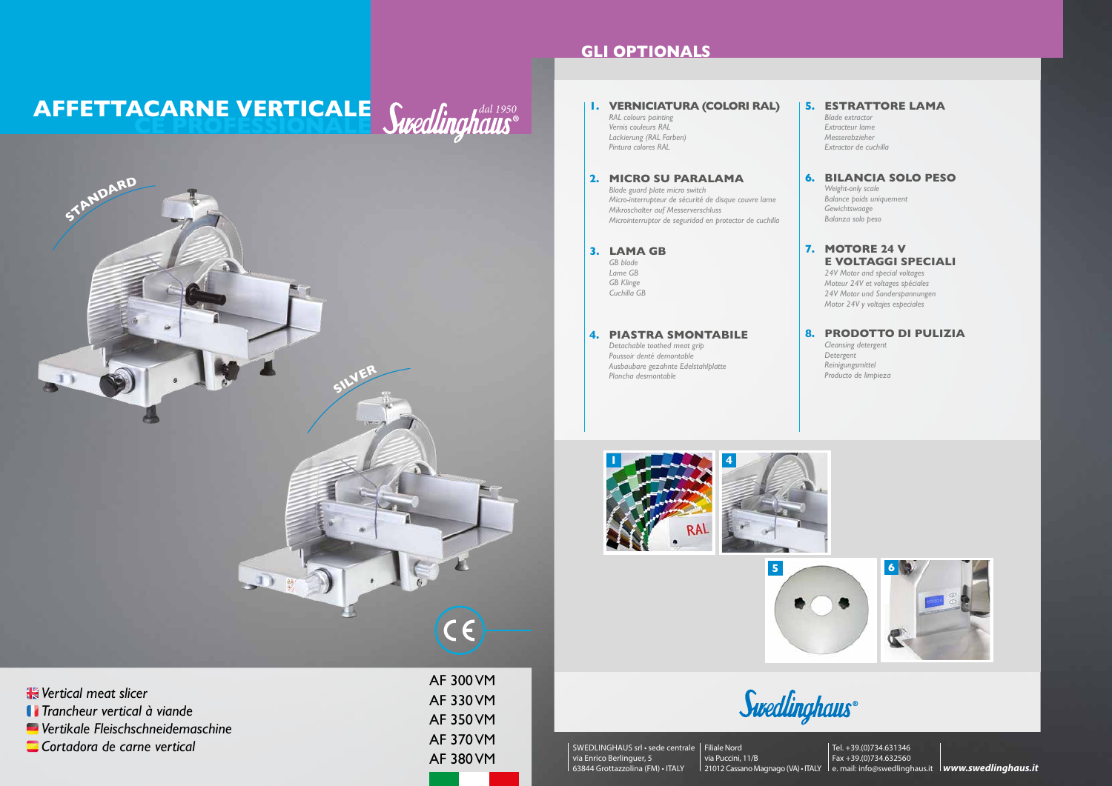AF 300 VM AF 330 VM AF 350 VM AF 370 VM AF 380 VM

*Vertical meat slicer Trancheur vertical à viande Vertikale Fleischschneidemaschine Cortadora de carne vertical*

### **GLI OPTIONALS**



#### *Swedlinghaus*® **AFFETTACARNE VERTICALE CE PROFESSIONALE**

Swedlinghaus®



#### **1 4 4. PIASTRA SMONTABILE** *Detachable toothed meat grip Poussoir denté demontable Ausbaubare gezahnte Edelstahlplatte Plancha desmontable* **1. VERNICIATURA (COLORI RAL)** *RAL colours painting Vernis couleurs RAL Lackierung (RAL Farben) Pintura colores RAL* **5. ESTRATTORE LAMA** *Blade extractor Extracteur lame Messerabzieher Extractor de cuchilla* **8. PRODOTTO DI PULIZIA** *Cleansing detergent Detergent Reinigungsmittel Producto de limpieza* **7. MOTORE 24 V E VOLTAGGI SPECIALI** *24V Motor and special voltages Moteur 24V et voltages spéciales 24V Motor und Sonderspannungen Motor 24V y voltajes especiales* **3. LAMA GB** *GB blade Lame GB GB Klinge Cuchilla GB* **2. MICRO SU PARALAMA** *Blade guard plate micro switch Micro-interrupteur de sécurité de disque couvre lame Mikroschalter auf Messerverschluss Microinterruptor de seguridad en protector de cuchilla* **6. BILANCIA SOLO PESO** *Weight-only scale Balance poids uniquement Gewichtswaage Balanza solo peso*

SWEDLINGHAUS srl • sede centrale Filiale Nord via Enrico Berlinguer, 5 63844 Grottazzolina (FM) • ITALY

via Puccini, 11/B 21012 Cassano Magnago (VA) • ITALY le. mail: info@swedlinghaus.it **lwww.swedlinghaus.it** Tel. +39.(0)734.631346 Fax +39.(0)734.632560